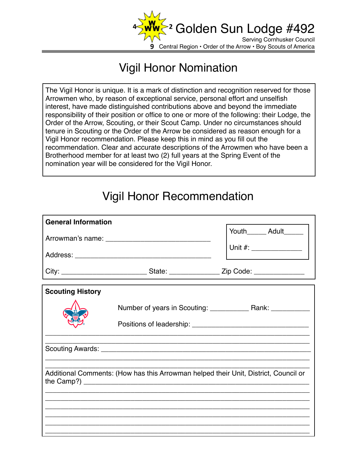

## Vigil Honor Nomination

The Vigil Honor is unique. It is a mark of distinction and recognition reserved for those Arrowmen who, by reason of exceptional service, personal effort and unselfish interest, have made distinguished contributions above and beyond the immediate responsibility of their position or office to one or more of the following: their Lodge, the Order of the Arrow, Scouting, or their Scout Camp. Under no circumstances should tenure in Scouting or the Order of the Arrow be considered as reason enough for a Vigil Honor recommendation. Please keep this in mind as you fill out the recommendation. Clear and accurate descriptions of the Arrowmen who have been a Brotherhood member for at least two (2) full years at the Spring Event of the nomination year will be considered for the Vigil Honor.

## Vigil Honor Recommendation

| <b>General Information</b>                                                          |                                                                                                      |                           |
|-------------------------------------------------------------------------------------|------------------------------------------------------------------------------------------------------|---------------------------|
|                                                                                     |                                                                                                      | Youth_______ Adult_______ |
|                                                                                     |                                                                                                      |                           |
|                                                                                     | City: ________________________________State: __________________Zip Code: ___________________________ |                           |
| <b>Scouting History</b>                                                             |                                                                                                      |                           |
|                                                                                     |                                                                                                      |                           |
|                                                                                     |                                                                                                      |                           |
|                                                                                     |                                                                                                      |                           |
| Additional Comments: (How has this Arrowman helped their Unit, District, Council or |                                                                                                      |                           |
|                                                                                     |                                                                                                      |                           |
|                                                                                     |                                                                                                      |                           |
|                                                                                     |                                                                                                      |                           |